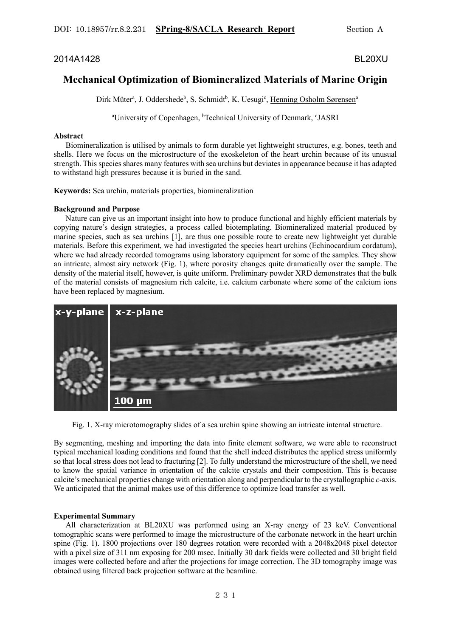# 2014A1428 BL20XU

# **Mechanical Optimization of Biomineralized Materials of Marine Origin**

Dirk Müter<sup>a</sup>, J. Oddershede<sup>b</sup>, S. Schmidt<sup>b</sup>, K. Uesugi<sup>c</sup>, Henning Osholm Sørensen<sup>a</sup>

<sup>a</sup>University of Copenhagen, <sup>b</sup>Technical University of Denmark, <sup>c</sup>JASRI

## **Abstract**

 Biomineralization is utilised by animals to form durable yet lightweight structures, e.g. bones, teeth and shells. Here we focus on the microstructure of the exoskeleton of the heart urchin because of its unusual strength. This species shares many features with sea urchins but deviates in appearance because it has adapted to withstand high pressures because it is buried in the sand.

**Keywords:** Sea urchin, materials properties, biomineralization

## **Background and Purpose**

 Nature can give us an important insight into how to produce functional and highly efficient materials by copying nature's design strategies, a process called biotemplating. Biomineralized material produced by marine species, such as sea urchins [1], are thus one possible route to create new lightweight yet durable materials. Before this experiment, we had investigated the species heart urchins (Echinocardium cordatum), where we had already recorded tomograms using laboratory equipment for some of the samples. They show an intricate, almost airy network (Fig. 1), where porosity changes quite dramatically over the sample. The density of the material itself, however, is quite uniform. Preliminary powder XRD demonstrates that the bulk of the material consists of magnesium rich calcite, i.e. calcium carbonate where some of the calcium ions have been replaced by magnesium.



Fig. 1. X-ray microtomography slides of a sea urchin spine showing an intricate internal structure.

By segmenting, meshing and importing the data into finite element software, we were able to reconstruct typical mechanical loading conditions and found that the shell indeed distributes the applied stress uniformly so that local stress does not lead to fracturing [2]. To fully understand the microstructure of the shell, we need to know the spatial variance in orientation of the calcite crystals and their composition. This is because calcite's mechanical properties change with orientation along and perpendicular to the crystallographic *c*-axis. We anticipated that the animal makes use of this difference to optimize load transfer as well.

## **Experimental Summary**

 All characterization at BL20XU was performed using an X-ray energy of 23 keV. Conventional tomographic scans were performed to image the microstructure of the carbonate network in the heart urchin spine (Fig. 1). 1800 projections over 180 degrees rotation were recorded with a 2048x2048 pixel detector with a pixel size of 311 nm exposing for 200 msec. Initially 30 dark fields were collected and 30 bright field images were collected before and after the projections for image correction. The 3D tomography image was obtained using filtered back projection software at the beamline.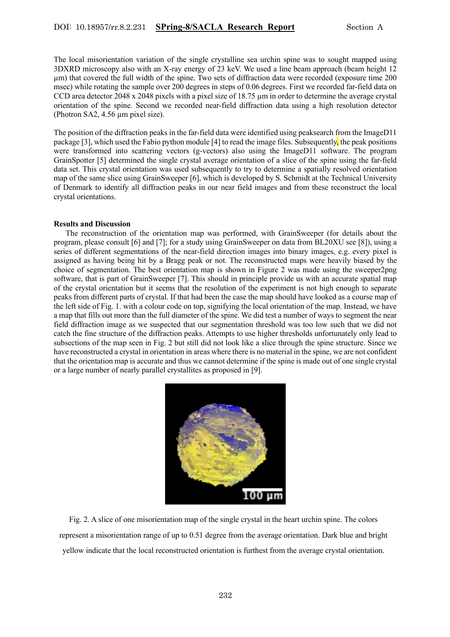The local misorientation variation of the single crystalline sea urchin spine was to sought mapped using 3DXRD microscopy also with an X-ray energy of 23 keV. We used a line beam approach (beam height 12 µm) that covered the full width of the spine. Two sets of diffraction data were recorded (exposure time 200 msec) while rotating the sample over 200 degrees in steps of 0.06 degrees. First we recorded far-field data on CCD area detector 2048 x 2048 pixels with a pixel size of 18.75  $\mu$ m in order to determine the average crystal orientation of the spine. Second we recorded near-field diffraction data using a high resolution detector (Photron SA2, 4.56 µm pixel size).

The position of the diffraction peaks in the far-field data were identified using peaksearch from the ImageD11 package [3], which used the Fabio python module [4] to read the image files. Subsequently, the peak positions were transformed into scattering vectors (g-vectors) also using the ImageD11 software. The program GrainSpotter [5] determined the single crystal average orientation of a slice of the spine using the far-field data set. This crystal orientation was used subsequently to try to determine a spatially resolved orientation map of the same slice using GrainSweeper [6], which is developed by S. Schmidt at the Technical University of Denmark to identify all diffraction peaks in our near field images and from these reconstruct the local crystal orientations.

#### **Results and Discussion**

 The reconstruction of the orientation map was performed, with GrainSweeper (for details about the program, please consult [6] and [7]; for a study using GrainSweeper on data from BL20XU see [8]), using a series of different segmentations of the near-field direction images into binary images, e.g. every pixel is assigned as having being hit by a Bragg peak or not. The reconstructed maps were heavily biased by the choice of segmentation. The best orientation map is shown in Figure 2 was made using the sweeper2png software, that is part of GrainSweeper [7]. This should in principle provide us with an accurate spatial map of the crystal orientation but it seems that the resolution of the experiment is not high enough to separate peaks from different parts of crystal. If that had been the case the map should have looked as a course map of the left side of Fig. 1. with a colour code on top, signifying the local orientation of the map. Instead, we have a map that fills out more than the full diameter of the spine. We did test a number of ways to segment the near field diffraction image as we suspected that our segmentation threshold was too low such that we did not catch the fine structure of the diffraction peaks. Attempts to use higher thresholds unfortunately only lead to subsections of the map seen in Fig. 2 but still did not look like a slice through the spine structure. Since we have reconstructed a crystal in orientation in areas where there is no material in the spine, we are not confident that the orientation map is accurate and thus we cannot determine if the spine is made out of one single crystal or a large number of nearly parallel crystallites as proposed in [9].



Fig. 2. A slice of one misorientation map of the single crystal in the heart urchin spine. The colors represent a misorientation range of up to 0.51 degree from the average orientation. Dark blue and bright yellow indicate that the local reconstructed orientation is furthest from the average crystal orientation.